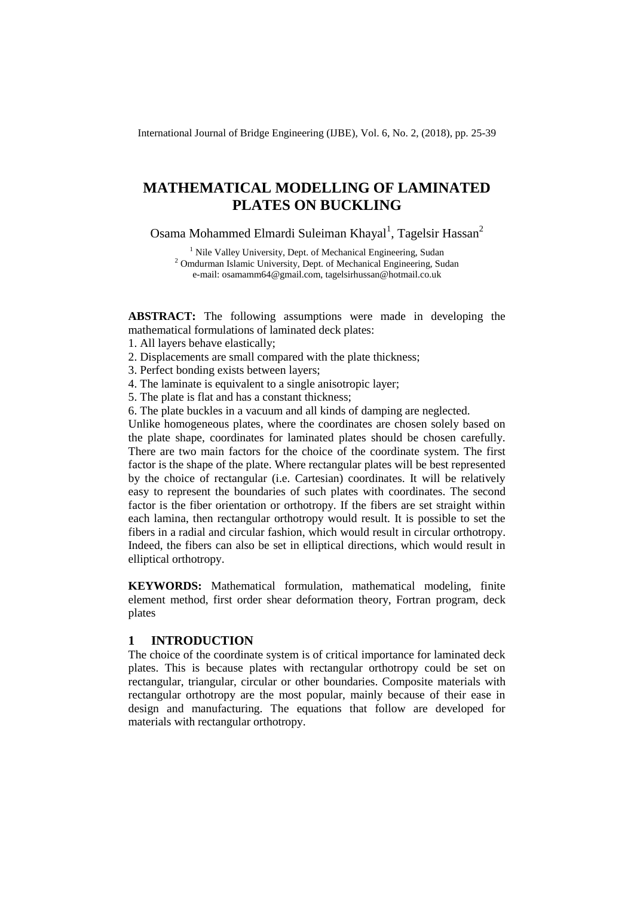International Journal of Bridge Engineering (IJBE), Vol. 6, No. 2, (2018), pp. 25-39

# **MATHEMATICAL MODELLING OF LAMINATED PLATES ON BUCKLING**

Osama Mohammed Elmardi Suleiman Khayal<sup>1</sup>, Tagelsir Hassan<sup>2</sup>

 $1$  Nile Valley University, Dept. of Mechanical Engineering, Sudan <sup>2</sup> Omdurman Islamic University, Dept. of Mechanical Engineering, Sudan e-mail: osamamm64@gmail.com, tagelsirhussan@hotmail.co.uk

**ABSTRACT:** The following assumptions were made in developing the mathematical formulations of laminated deck plates:

1. All layers behave elastically;

2. Displacements are small compared with the plate thickness;

3. Perfect bonding exists between layers;

4. The laminate is equivalent to a single anisotropic layer;

5. The plate is flat and has a constant thickness;

6. The plate buckles in a vacuum and all kinds of damping are neglected.

Unlike homogeneous plates, where the coordinates are chosen solely based on the plate shape, coordinates for laminated plates should be chosen carefully. There are two main factors for the choice of the coordinate system. The first factor is the shape of the plate. Where rectangular plates will be best represented by the choice of rectangular (i.e. Cartesian) coordinates. It will be relatively easy to represent the boundaries of such plates with coordinates. The second factor is the fiber orientation or orthotropy. If the fibers are set straight within each lamina, then rectangular orthotropy would result. It is possible to set the fibers in a radial and circular fashion, which would result in circular orthotropy. Indeed, the fibers can also be set in elliptical directions, which would result in elliptical orthotropy.

**KEYWORDS:** Mathematical formulation, mathematical modeling, finite element method, first order shear deformation theory, Fortran program, deck plates

## **1 INTRODUCTION**

The choice of the coordinate system is of critical importance for laminated deck plates. This is because plates with rectangular orthotropy could be set on rectangular, triangular, circular or other boundaries. Composite materials with rectangular orthotropy are the most popular, mainly because of their ease in design and manufacturing. The equations that follow are developed for materials with rectangular orthotropy.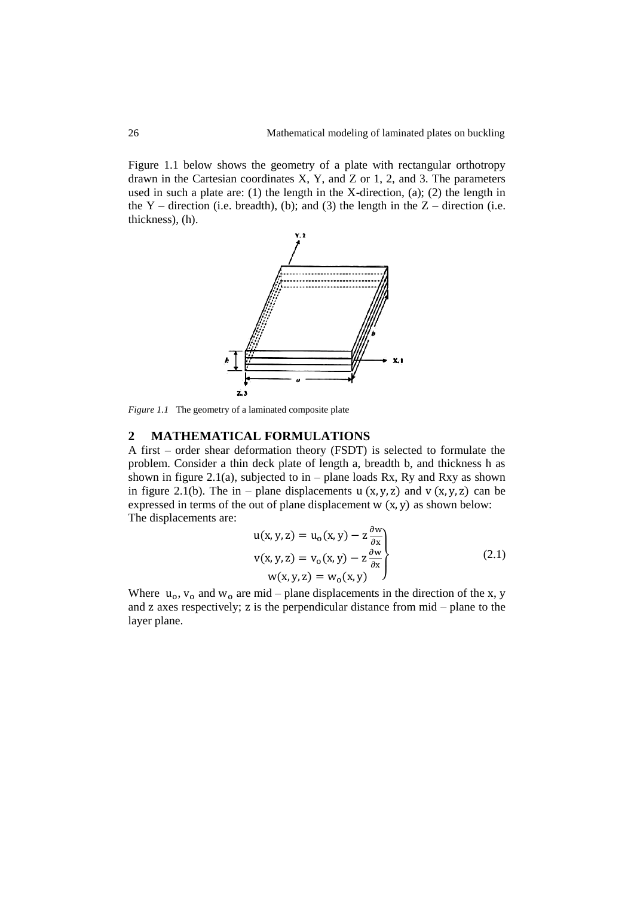Figure 1.1 below shows the geometry of a plate with rectangular orthotropy drawn in the Cartesian coordinates X, Y, and Z or 1, 2, and 3. The parameters used in such a plate are: (1) the length in the X-direction, (a); (2) the length in the Y – direction (i.e. breadth), (b); and (3) the length in the  $Z$  – direction (i.e. thickness), (h).



*Figure 1.1* The geometry of a laminated composite plate

## **2 MATHEMATICAL FORMULATIONS**

A first – order shear deformation theory (FSDT) is selected to formulate the problem. Consider a thin deck plate of length a, breadth b, and thickness h as shown in figure 2.1(a), subjected to in – plane loads Rx, Ry and Rxy as shown in figure 2.1(b). The in – plane displacements u  $(x, y, z)$  and v  $(x, y, z)$  can be expressed in terms of the out of plane displacement  $w(x, y)$  as shown below: The displacements are:

$$
u(x, y, z) = u0(x, y) - z \frac{\partial w}{\partial x}
$$
  
\n
$$
v(x, y, z) = v0(x, y) - z \frac{\partial w}{\partial x}
$$
  
\n
$$
w(x, y, z) = w0(x, y)
$$
 (2.1)

Where  $u_0$ ,  $v_0$  and  $w_0$  are mid – plane displacements in the direction of the x, y and  $z$  axes respectively;  $z$  is the perpendicular distance from  $mid -$  plane to the layer plane.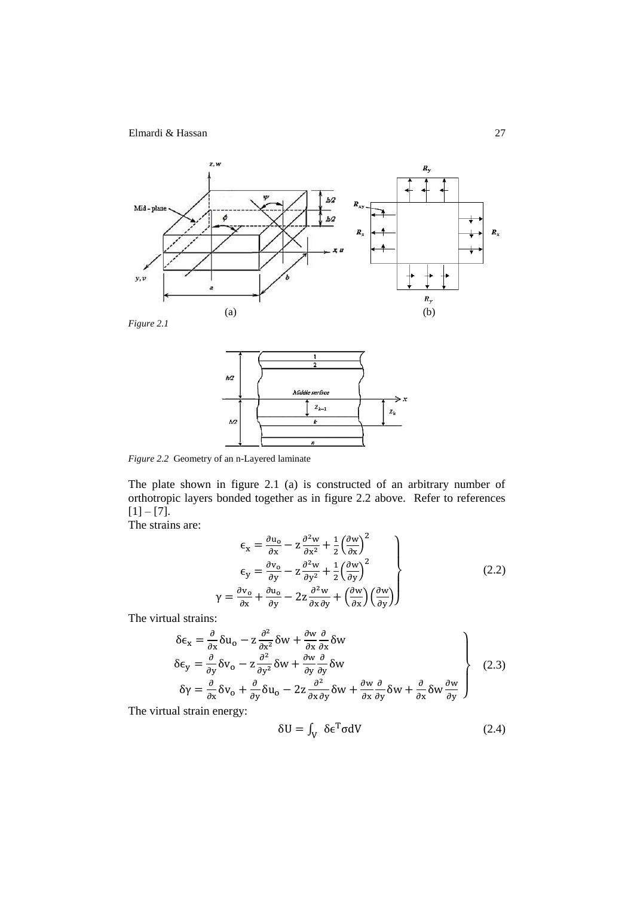





*Figure 2.2* Geometry of an n-Layered laminate

 $\gamma$ 

The plate shown in figure 2.1 (a) is constructed of an arbitrary number of orthotropic layers bonded together as in figure 2.2 above. Refer to references  $[1] - [7]$ .

The strains are:

$$
\epsilon_{\mathbf{x}} = \frac{\partial u_{\mathbf{o}}}{\partial \mathbf{x}} - \mathbf{z} \frac{\partial^2 w}{\partial \mathbf{x}^2} + \frac{1}{2} \left( \frac{\partial w}{\partial \mathbf{x}} \right)^2 \n\epsilon_{\mathbf{y}} = \frac{\partial v_{\mathbf{o}}}{\partial \mathbf{y}} - \mathbf{z} \frac{\partial^2 w}{\partial \mathbf{y}^2} + \frac{1}{2} \left( \frac{\partial w}{\partial \mathbf{y}} \right)^2 \n= \frac{\partial v_{\mathbf{o}}}{\partial \mathbf{x}} + \frac{\partial u_{\mathbf{o}}}{\partial \mathbf{y}} - 2\mathbf{z} \frac{\partial^2 w}{\partial \mathbf{x} \partial \mathbf{y}} + \left( \frac{\partial w}{\partial \mathbf{x}} \right) \left( \frac{\partial w}{\partial \mathbf{y}} \right)
$$
\n(2.2)

The virtual strains:

$$
\delta \epsilon_{x} = \frac{\partial}{\partial x} \delta u_{o} - z \frac{\partial^{2}}{\partial x^{2}} \delta w + \frac{\partial w}{\partial x} \frac{\partial}{\partial x} \delta w
$$
\n
$$
\delta \epsilon_{y} = \frac{\partial}{\partial y} \delta v_{o} - z \frac{\partial^{2}}{\partial y^{2}} \delta w + \frac{\partial w}{\partial y} \frac{\partial}{\partial y} \delta w
$$
\n
$$
\delta \gamma = \frac{\partial}{\partial x} \delta v_{o} + \frac{\partial}{\partial y} \delta u_{o} - 2z \frac{\partial^{2}}{\partial x \partial y} \delta w + \frac{\partial w}{\partial x} \frac{\partial}{\partial y} \delta w + \frac{\partial}{\partial x} \delta w \frac{\partial w}{\partial y}
$$
\n(2.3)

The virtual strain energy:

$$
\delta U = \int_{V} \delta \epsilon^T \sigma dV \tag{2.4}
$$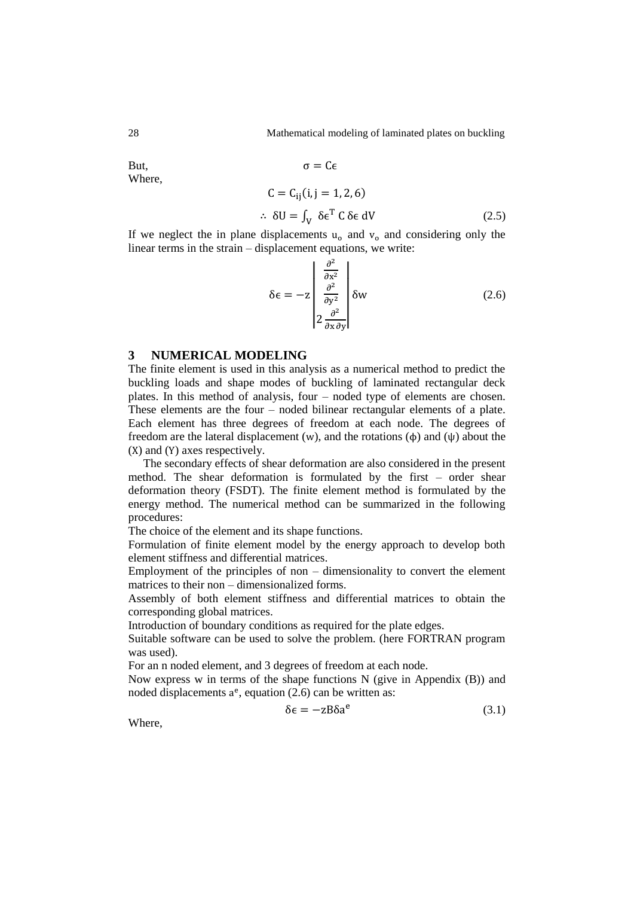But, Where,

$$
C = C_{ij}(i, j = 1, 2, 6)
$$
  
\n
$$
\therefore \delta U = \int_{V} \delta \epsilon^{T} C \delta \epsilon dV
$$
 (2.5)

If we neglect the in plane displacements  $u_0$  and  $v_0$  and considering only the linear terms in the strain – displacement equations, we write:

 $\sigma = C\epsilon$ 

$$
\delta \epsilon = -z \begin{bmatrix} \frac{\partial^2}{\partial x^2} \\ \frac{\partial^2}{\partial y^2} \\ 2 \frac{\partial^2}{\partial x \partial y} \end{bmatrix} \delta w \tag{2.6}
$$

### **3 NUMERICAL MODELING**

The finite element is used in this analysis as a numerical method to predict the buckling loads and shape modes of buckling of laminated rectangular deck plates. In this method of analysis, four – noded type of elements are chosen. These elements are the four – noded bilinear rectangular elements of a plate. Each element has three degrees of freedom at each node. The degrees of freedom are the lateral displacement (w), and the rotations ( $\phi$ ) and ( $\psi$ ) about the  $(X)$  and  $(Y)$  axes respectively.

The secondary effects of shear deformation are also considered in the present method. The shear deformation is formulated by the first – order shear deformation theory (FSDT). The finite element method is formulated by the energy method. The numerical method can be summarized in the following procedures:

The choice of the element and its shape functions.

Formulation of finite element model by the energy approach to develop both element stiffness and differential matrices.

Employment of the principles of non – dimensionality to convert the element matrices to their non – dimensionalized forms.

Assembly of both element stiffness and differential matrices to obtain the corresponding global matrices.

Introduction of boundary conditions as required for the plate edges.

Suitable software can be used to solve the problem. (here FORTRAN program was used).

For an n noded element, and 3 degrees of freedom at each node.

Now express w in terms of the shape functions N (give in Appendix (B)) and noded displacements  $a^e$ , equation (2.6) can be written as:

$$
\delta \epsilon = -zB\delta a^e \tag{3.1}
$$

Where,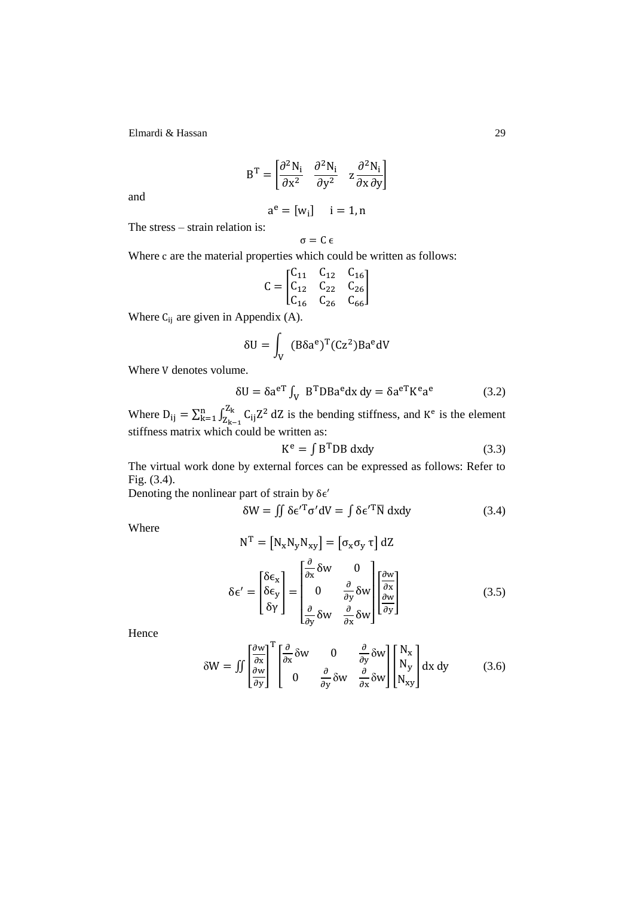$$
BT = \begin{bmatrix} \frac{\partial^2 N_i}{\partial x^2} & \frac{\partial^2 N_i}{\partial y^2} & z \frac{\partial^2 N_i}{\partial x \partial y} \end{bmatrix}
$$

and

$$
a^e = [w_i] \quad \ i=1,n
$$

The stress – strain relation is:

$$
\sigma = C\,\varepsilon
$$

Where c are the material properties which could be written as follows:

$$
C = \begin{bmatrix} C_{11} & C_{12} & C_{16} \\ C_{12} & C_{22} & C_{26} \\ C_{16} & C_{26} & C_{66} \end{bmatrix}
$$

Where  $C_{ij}$  are given in Appendix (A).

$$
\delta U = \int_{V} (B\delta a^{e})^{T} (Cz^{2}) Ba^{e} dV
$$

Where V denotes volume.

$$
\delta U = \delta a^{eT} \int_{V} B^{T} D B a^{e} dx dy = \delta a^{eT} K^{e} a^{e}
$$
 (3.2)

Where  $D_{ii} = \sum_{k=1}^{n} \int_{z}^{z_k} C_{ii} Z^2$ Z  $\int_{k=1}^{n} \int_{Z_{1/2}}^{Z_k} C_{ij} Z^2 dZ$  is the bending stiffness, and  $K^e$  is the element stiffness matrix which could be written as:

$$
K^{e} = \int B^{T}DB \, dxdy \tag{3.3}
$$

The virtual work done by external forces can be expressed as follows: Refer to Fig. (3.4).

Denoting the nonlinear part of strain by  $\delta \epsilon'$ 

$$
\delta W = \iint \delta \epsilon^{\prime T} \sigma^{\prime} dV = \int \delta \epsilon^{\prime T} \overline{N} dxdy \tag{3.4}
$$

Where

$$
N^{T} = [N_{x}N_{y}N_{xy}] = [\sigma_{x}\sigma_{y} \tau] dZ
$$

$$
\delta \epsilon' = \begin{bmatrix} \delta \epsilon_{x} \\ \delta \epsilon_{y} \\ \delta \gamma \end{bmatrix} = \begin{bmatrix} \frac{\partial}{\partial x} \delta w & 0 \\ 0 & \frac{\partial}{\partial y} \delta w \\ \frac{\partial}{\partial y} \delta w & \frac{\partial}{\partial x} \delta w \end{bmatrix} \begin{bmatrix} \frac{\partial w}{\partial x} \\ \frac{\partial w}{\partial y} \end{bmatrix}
$$
(3.5)

Hence

$$
\delta W = \iint \left[ \frac{\frac{\partial w}{\partial x}}{\frac{\partial w}{\partial y}} \right]^T \left[ \frac{\frac{\partial}{\partial x}}{\frac{\partial w}{\partial y}} \delta w - \frac{\partial}{\partial y} \delta w - \frac{\partial}{\partial x} \delta w \right] \left[ \begin{array}{c} N_x \\ N_y \\ N_{xy} \end{array} \right] dx dy \tag{3.6}
$$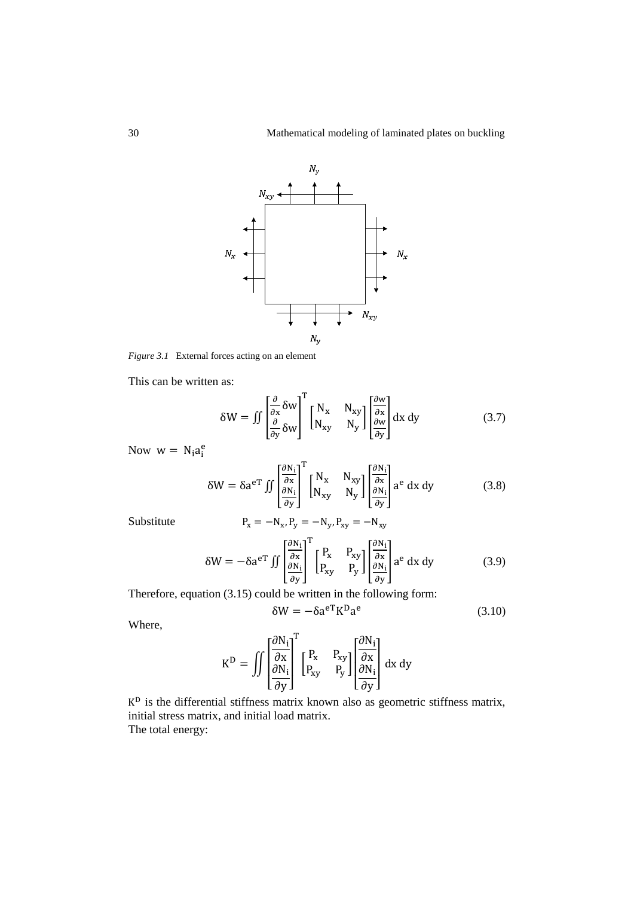

*Figure 3.1* External forces acting on an element

This can be written as:

$$
\delta W = \iint \left[ \frac{\partial}{\partial x} \delta W \right]^{\text{T}} \begin{bmatrix} N_x & N_{xy} \\ N_{xy} & N_y \end{bmatrix} \begin{bmatrix} \frac{\partial w}{\partial x} \\ \frac{\partial w}{\partial y} \end{bmatrix} dx dy \tag{3.7}
$$

Now  $w = N_i a_i^e$ 

$$
\delta W = \delta a^{eT} \iint \left[ \frac{\frac{\partial N_i}{\partial x}}{\frac{\partial N_i}{\partial y}} \right]^T \begin{bmatrix} N_x & N_{xy} \\ N_{xy} & N_y \end{bmatrix} \begin{bmatrix} \frac{\partial N_i}{\partial x} \\ \frac{\partial N_i}{\partial y} \end{bmatrix} a^e dx dy \tag{3.8}
$$

Substitute

$$
\mathrm{P}_{\mathrm{x}}=-\mathrm{N}_{\mathrm{x}},\mathrm{P}_{\mathrm{y}}=-\mathrm{N}_{\mathrm{y}},\mathrm{P}_{\mathrm{xy}}=-\mathrm{N}_{\mathrm{xy}}
$$

$$
\delta W = -\delta a^{eT} \iint \left[ \frac{\frac{\partial N_{i}}{\partial x}}{\frac{\partial N_{i}}{\partial y}} \right]^{T} \begin{bmatrix} P_{x} & P_{xy} \\ P_{xy} & P_{y} \end{bmatrix} \begin{bmatrix} \frac{\partial N_{i}}{\partial x} \\ \frac{\partial N_{i}}{\partial y} \end{bmatrix} a^{e} dx dy
$$
(3.9)

Therefore, equation (3.15) could be written in the following form:

$$
\delta W = -\delta a^{eT} K^{D} a^{e}
$$
 (3.10)

Where,

$$
K^D = \iint \left[\begin{matrix}\frac{\partial N_i}{\partial x} \\ \frac{\partial N_i}{\partial y}\end{matrix}\right]^T \left[\begin{matrix} P_x & P_{xy} \\ P_{xy} & P_y \end{matrix}\right] \left[\begin{matrix}\frac{\partial N_i}{\partial x} \\ \frac{\partial N_i}{\partial y}\end{matrix}\right] dx dy
$$

 $K<sup>D</sup>$  is the differential stiffness matrix known also as geometric stiffness matrix, initial stress matrix, and initial load matrix. The total energy: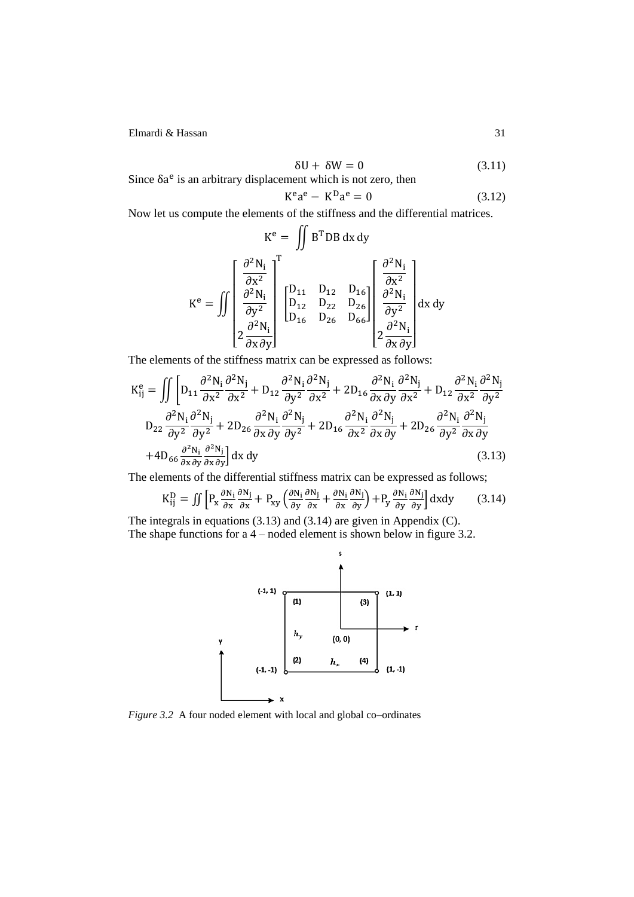$$
\delta U + \delta W = 0 \tag{3.11}
$$

Since  $\delta a^e$  is an arbitrary displacement which is not zero, then

$$
K^e a^e - K^D a^e = 0 \tag{3.12}
$$

Now let us compute the elements of the stiffness and the differential matrices.

$$
K^{e} = \iint B^{T}DB \, dx \, dy
$$

$$
K^{e} = \iint \left[ \frac{\frac{\partial^{2} N_{i}}{\partial x^{2}}}{\frac{\partial^{2} N_{i}}{\partial y^{2}}} \right]^{T} \begin{bmatrix} D_{11} & D_{12} & D_{16} \\ D_{12} & D_{22} & D_{26} \\ D_{16} & D_{26} & D_{66} \end{bmatrix} \begin{bmatrix} \frac{\partial^{2} N_{i}}{\partial x^{2}} \\ \frac{\partial^{2} N_{i}}{\partial y^{2}} \\ \frac{\partial^{2} N_{i}}{\partial x \partial y} \end{bmatrix} dx \, dy
$$

The elements of the stiffness matrix can be expressed as follows:

$$
K_{ij}^{e} = \iint \left[ D_{11} \frac{\partial^2 N_i}{\partial x^2} \frac{\partial^2 N_j}{\partial x^2} + D_{12} \frac{\partial^2 N_i}{\partial y^2} \frac{\partial^2 N_j}{\partial x^2} + 2D_{16} \frac{\partial^2 N_i}{\partial x \partial y} \frac{\partial^2 N_j}{\partial x^2} + D_{12} \frac{\partial^2 N_i}{\partial x^2} \frac{\partial^2 N_j}{\partial y^2} \right]
$$
  
\n
$$
D_{22} \frac{\partial^2 N_i}{\partial y^2} \frac{\partial^2 N_j}{\partial y^2} + 2D_{26} \frac{\partial^2 N_i}{\partial x \partial y} \frac{\partial^2 N_j}{\partial y^2} + 2D_{16} \frac{\partial^2 N_i}{\partial x^2} \frac{\partial^2 N_j}{\partial x \partial y} + 2D_{26} \frac{\partial^2 N_i}{\partial y^2} \frac{\partial^2 N_j}{\partial x \partial y} + 4D_{66} \frac{\partial^2 N_i}{\partial x \partial y} \frac{\partial^2 N_j}{\partial x \partial y} \right] dx dy
$$
\n(3.13)

The elements of the differential stiffness matrix can be expressed as follows;

$$
K_{ij}^{D} = \iint \left[ P_x \frac{\partial N_i}{\partial x} \frac{\partial N_j}{\partial x} + P_{xy} \left( \frac{\partial N_i}{\partial y} \frac{\partial N_j}{\partial x} + \frac{\partial N_i}{\partial x} \frac{\partial N_j}{\partial y} \right) + P_y \frac{\partial N_i}{\partial y} \frac{\partial N_j}{\partial y} \right] dxdy \tag{3.14}
$$

The integrals in equations (3.13) and (3.14) are given in Appendix (C). The shape functions for a 4 – noded element is shown below in figure 3.2.



*Figure 3.2* A four noded element with local and global co–ordinates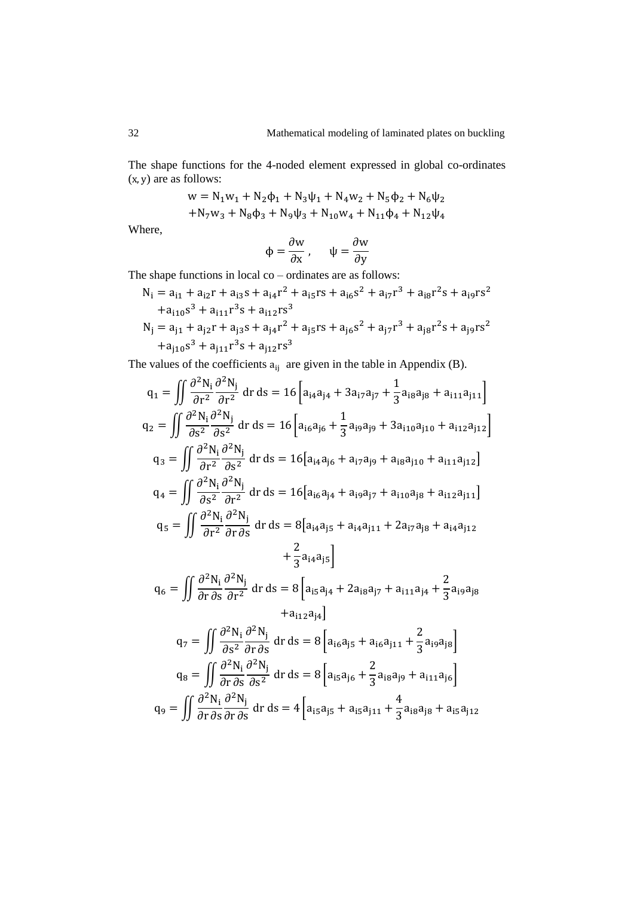The shape functions for the 4-noded element expressed in global co-ordinates  $(x, y)$  are as follows:

$$
w = N_1 w_1 + N_2 \phi_1 + N_3 \psi_1 + N_4 w_2 + N_5 \phi_2 + N_6 \psi_2
$$
  
+ N\_7 w\_3 + N\_8 \phi\_3 + N\_9 \psi\_3 + N\_{10} w\_4 + N\_{11} \phi\_4 + N\_{12} \psi\_4

Where,

$$
\Phi = \frac{\partial w}{\partial x}, \qquad \psi = \frac{\partial w}{\partial y}
$$

The shape functions in local co – ordinates are as follows:

$$
N_{i} = a_{i1} + a_{i2}r + a_{i3}s + a_{i4}r^{2} + a_{i5}rs + a_{i6}s^{2} + a_{i7}r^{3} + a_{i8}r^{2}s + a_{i9}rs^{2}
$$
  
+ 
$$
a_{i10}s^{3} + a_{i11}r^{3}s + a_{i12}rs^{3}
$$
  

$$
N_{j} = a_{j1} + a_{j2}r + a_{j3}s + a_{j4}r^{2} + a_{j5}rs + a_{j6}s^{2} + a_{j7}r^{3} + a_{j8}r^{2}s + a_{j9}rs^{2}
$$
  
+ 
$$
a_{j10}s^{3} + a_{j11}r^{3}s + a_{j12}rs^{3}
$$

The values of the coefficients  $a_{ij}$  are given in the table in Appendix (B).

$$
q_{1} = \iint \frac{\partial^{2} N_{i}}{\partial r^{2}} \frac{\partial^{2} N_{j}}{\partial r^{2}} dr ds = 16 \left[ a_{i4} a_{j4} + 3 a_{i7} a_{j7} + \frac{1}{3} a_{i8} a_{j8} + a_{i11} a_{j11} \right]
$$
  
\n
$$
q_{2} = \iint \frac{\partial^{2} N_{i}}{\partial s^{2}} \frac{\partial^{2} N_{j}}{\partial s^{2}} dr ds = 16 \left[ a_{i6} a_{j6} + \frac{1}{3} a_{i9} a_{j9} + 3 a_{i10} a_{j10} + a_{i12} a_{j12} \right]
$$
  
\n
$$
q_{3} = \iint \frac{\partial^{2} N_{i}}{\partial r^{2}} \frac{\partial^{2} N_{j}}{\partial s^{2}} dr ds = 16 \left[ a_{i4} a_{j6} + a_{i7} a_{j9} + a_{i8} a_{j10} + a_{i11} a_{j12} \right]
$$
  
\n
$$
q_{4} = \iint \frac{\partial^{2} N_{i}}{\partial s^{2}} \frac{\partial^{2} N_{j}}{\partial r^{2}} dr ds = 16 \left[ a_{i6} a_{j4} + a_{i9} a_{j7} + a_{i10} a_{j8} + a_{i12} a_{j11} \right]
$$
  
\n
$$
q_{5} = \iint \frac{\partial^{2} N_{i}}{\partial r^{2}} \frac{\partial^{2} N_{j}}{\partial r \partial s} dr ds = 8 \left[ a_{i4} a_{j5} + a_{i4} a_{j11} + 2 a_{i7} a_{j8} + a_{i4} a_{j12} + \frac{2}{3} a_{i4} a_{j5} \right]
$$
  
\n
$$
q_{6} = \iint \frac{\partial^{2} N_{i}}{\partial r \partial s} \frac{\partial^{2} N_{j}}{\partial r^{2}} dr ds = 8 \left[ a_{i5} a_{j4} + 2 a_{i8} a_{j7} + a_{i11} a_{j4} + \frac{2}{3} a_{i9} a_{j8} \right]
$$

$$
+a_{i12}a_{j4}\Big]
$$
  
\n
$$
q_{7} = \iint \frac{\partial^{2} N_{i}}{\partial s^{2}} \frac{\partial^{2} N_{j}}{\partial r \partial s} dr ds = 8 \left[ a_{i6}a_{j5} + a_{i6}a_{j11} + \frac{2}{3}a_{i9}a_{j8} \right]
$$
  
\n
$$
q_{8} = \iint \frac{\partial^{2} N_{i}}{\partial r \partial s} \frac{\partial^{2} N_{j}}{\partial s^{2}} dr ds = 8 \left[ a_{i5}a_{j6} + \frac{2}{3}a_{i8}a_{j9} + a_{i11}a_{j6} \right]
$$
  
\n
$$
q_{9} = \iint \frac{\partial^{2} N_{i}}{\partial r \partial s} \frac{\partial^{2} N_{j}}{\partial r \partial s} dr ds = 4 \left[ a_{i5}a_{j5} + a_{i5}a_{j11} + \frac{4}{3}a_{i8}a_{j8} + a_{i5}a_{j12} \right]
$$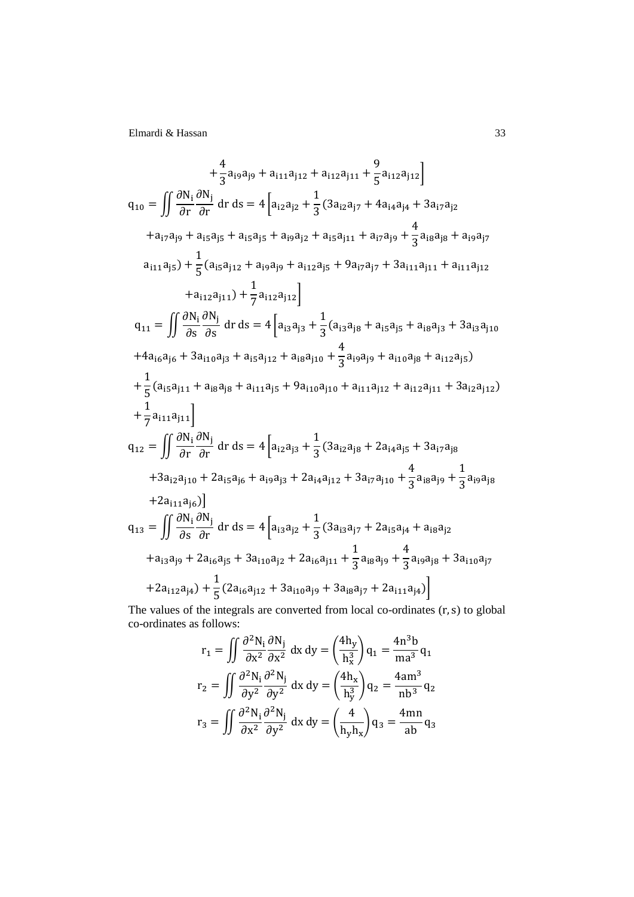$$
+\frac{4}{3}a_{i9}a_{j9} + a_{i11}a_{j12} + a_{i12}a_{j11} + \frac{9}{5}a_{i12}a_{j12} \nq_{10} = \iint \frac{\partial N_{i}}{\partial r} \frac{\partial N_{j}}{\partial r} dr ds = 4 \left[ a_{i2}a_{j2} + \frac{1}{3}(3a_{i2}a_{j7} + 4a_{i4}a_{j4} + 3a_{i7}a_{j2} \n+ a_{i7}a_{j9} + a_{i5}a_{j5} + a_{i5}a_{j5} + a_{i9}a_{j2} + a_{i5}a_{j11} + a_{i7}a_{j9} + \frac{4}{3}a_{i8}a_{j8} + a_{i9}a_{j7} \n a_{i11}a_{j5}) + \frac{1}{5}(a_{i5}a_{j12} + a_{i9}a_{j9} + a_{i12}a_{j5} + 9a_{i7}a_{j7} + 3a_{i11}a_{j11} + a_{i11}a_{j12} \n+ a_{i12}a_{j11}) + \frac{1}{7}a_{i12}a_{j12} \right]
$$
\n
$$
q_{11} = \iint \frac{\partial N_{i}}{\partial s} \frac{\partial N_{j}}{\partial s} dr ds = 4 \left[ a_{i3}a_{j3} + \frac{1}{3}(a_{i3}a_{j8} + a_{i5}a_{j5} + a_{i8}a_{j3} + 3a_{i3}a_{j10} \n+ a_{i6}a_{j6} + 3a_{i10}a_{j3} + a_{i5}a_{j12} + a_{i8}a_{j10} + \frac{4}{3}a_{i9}a_{j9} + a_{i10}a_{j8} + a_{i12}a_{j5} \right)
$$
\n
$$
+ \frac{1}{5}(a_{i5}a_{j11} + a_{i8}a_{j8} + a_{i11}a_{j5} + 9a_{i10}a_{j10} + a_{i11}a_{j12} + a_{i12}a_{j11} + 3a_{i2}a_{j12} \right)
$$
\n
$$
+ \frac{1}{7}a_{i11}a_{j11} \right]
$$
\n

The values of the integrals are converted from local co-ordinates  $(r, s)$  to global co-ordinates as follows:

$$
r_1 = \iint \frac{\partial^2 N_i}{\partial x^2} \frac{\partial N_j}{\partial x^2} dx dy = \left(\frac{4h_y}{h_x^3}\right) q_1 = \frac{4n^3b}{ma^3} q_1
$$
  

$$
r_2 = \iint \frac{\partial^2 N_i}{\partial y^2} \frac{\partial^2 N_j}{\partial y^2} dx dy = \left(\frac{4h_x}{h_y^3}\right) q_2 = \frac{4am^3}{nb^3} q_2
$$
  

$$
r_3 = \iint \frac{\partial^2 N_i}{\partial x^2} \frac{\partial^2 N_j}{\partial y^2} dx dy = \left(\frac{4}{h_y h_x}\right) q_3 = \frac{4mn}{ab} q_3
$$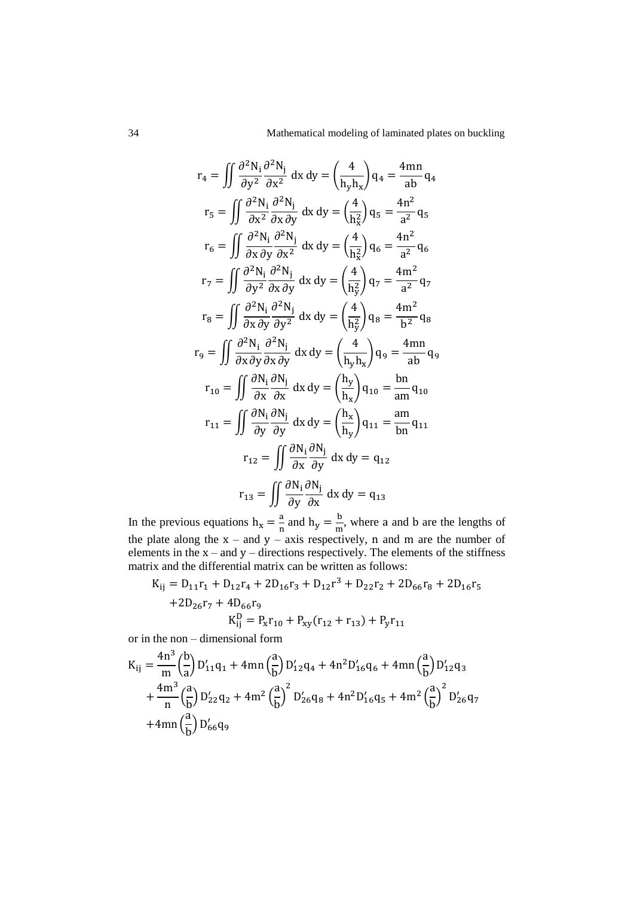$$
r_4 = \iint \frac{\partial^2 N_i}{\partial y^2} \frac{\partial^2 N_j}{\partial x^2} dx dy = \left(\frac{4}{h_y h_x}\right) q_4 = \frac{4mn}{ab} q_4
$$
  
\n
$$
r_5 = \iint \frac{\partial^2 N_i}{\partial x^2} \frac{\partial^2 N_j}{\partial x \partial y} dx dy = \left(\frac{4}{h_x^2}\right) q_5 = \frac{4n^2}{a^2} q_5
$$
  
\n
$$
r_6 = \iint \frac{\partial^2 N_i}{\partial x \partial y} \frac{\partial^2 N_j}{\partial x^2} dx dy = \left(\frac{4}{h_x^2}\right) q_6 = \frac{4n^2}{a^2} q_6
$$
  
\n
$$
r_7 = \iint \frac{\partial^2 N_i}{\partial y^2} \frac{\partial^2 N_j}{\partial x \partial y} dx dy = \left(\frac{4}{h_y^2}\right) q_7 = \frac{4m^2}{a^2} q_7
$$
  
\n
$$
r_8 = \iint \frac{\partial^2 N_i}{\partial x \partial y} \frac{\partial^2 N_j}{\partial y^2} dx dy = \left(\frac{4}{h_y^2}\right) q_8 = \frac{4m^2}{b^2} q_8
$$
  
\n
$$
r_9 = \iint \frac{\partial^2 N_i}{\partial x \partial y} \frac{\partial^2 N_j}{\partial x \partial y} dx dy = \left(\frac{4}{h_y h_x}\right) q_9 = \frac{4mn}{ab} q_9
$$
  
\n
$$
r_{10} = \iint \frac{\partial N_i}{\partial x} \frac{\partial N_j}{\partial x} dx dy = \left(\frac{h_y}{h_x}\right) q_{10} = \frac{bn}{am} q_{10}
$$
  
\n
$$
r_{11} = \iint \frac{\partial N_i}{\partial y} \frac{\partial N_j}{\partial y} dx dy = \left(\frac{h_x}{h_y}\right) q_{11} = \frac{am}{bn} q_{11}
$$
  
\n
$$
r_{12} = \iint \frac{\partial N_i}{\partial x} \frac{\partial N_j}{\partial y} dx dy = q_{12}
$$
  
\n
$$
r_{13} = \iint \frac{\partial N_i}{\partial y} \frac{\partial N_j}{\partial x} dx dy = q_{13}
$$

In the previous equations  $h_x = \frac{a}{b}$  $\frac{a}{n}$  and  $h_y = \frac{b}{n}$  $\frac{0}{m}$ , where a and b are the lengths of the plate along the  $x$  – and  $y$  – axis respectively, n and m are the number of elements in the  $x$  – and  $y$  – directions respectively. The elements of the stiffness matrix and the differential matrix can be written as follows:

$$
K_{ij} = D_{11}r_1 + D_{12}r_4 + 2D_{16}r_3 + D_{12}r^3 + D_{22}r_2 + 2D_{66}r_8 + 2D_{16}r_5
$$
  
+2D<sub>26</sub>r<sub>7</sub> + 4D<sub>66</sub>r<sub>9</sub>  

$$
K_{ij}^D = P_xr_{10} + P_{xy}(r_{12} + r_{13}) + P_yr_{11}
$$

or in the non – dimensional form

$$
K_{ij} = \frac{4n^3}{m} \left(\frac{b}{a}\right) D'_{11}q_1 + 4mn \left(\frac{a}{b}\right) D'_{12}q_4 + 4n^2 D'_{16}q_6 + 4mn \left(\frac{a}{b}\right) D'_{12}q_3
$$
  
+ 
$$
\frac{4m^3}{n} \left(\frac{a}{b}\right) D'_{22}q_2 + 4m^2 \left(\frac{a}{b}\right)^2 D'_{26}q_8 + 4n^2 D'_{16}q_5 + 4m^2 \left(\frac{a}{b}\right)^2 D'_{26}q_7
$$
  
+ 
$$
4mn \left(\frac{a}{b}\right) D'_{66}q_9
$$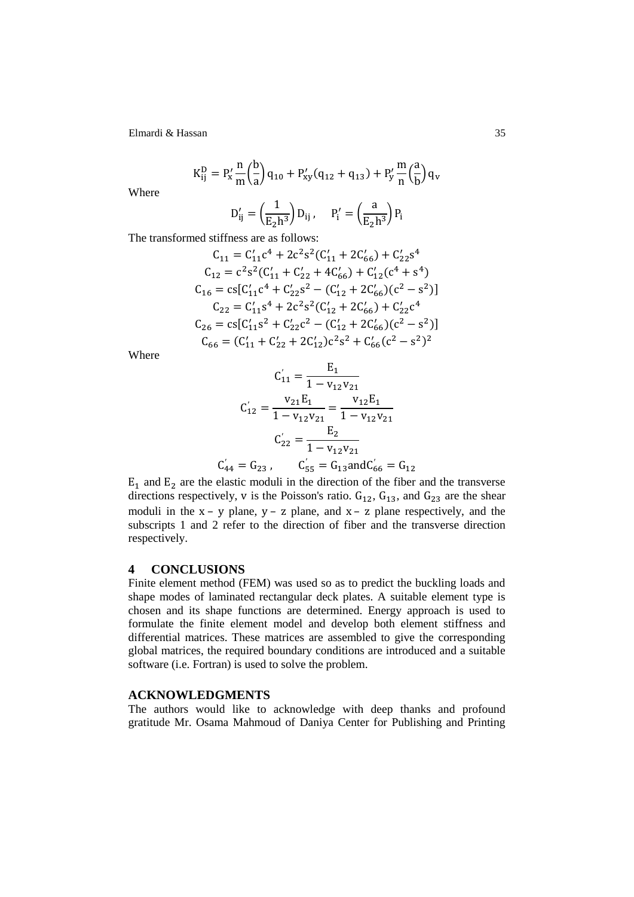$$
K_{ij}^{D} = P_x' \frac{n}{m} {b \choose a} q_{10} + P_{xy}'(q_{12} + q_{13}) + P_y' \frac{m}{n} {a \choose b} q_v
$$

Where

$$
D'_{ij} = \left(\frac{1}{E_2 h^3}\right) D_{ij}, \quad P'_i = \left(\frac{a}{E_2 h^3}\right) P_i
$$

The transformed stiffness are as follows:

$$
C_{11} = C'_{11}c^4 + 2c^2s^2(C'_{11} + 2C'_{66}) + C'_{22}s^4
$$
  
\n
$$
C_{12} = c^2s^2(C'_{11} + C'_{22} + 4C'_{66}) + C'_{12}(c^4 + s^4)
$$
  
\n
$$
C_{16} = cs[C'_{11}c^4 + C'_{22}s^2 - (C'_{12} + 2C'_{66})(c^2 - s^2)]
$$
  
\n
$$
C_{22} = C'_{11}s^4 + 2c^2s^2(C'_{12} + 2C'_{66}) + C'_{22}c^4
$$
  
\n
$$
C_{26} = cs[C'_{11}s^2 + C'_{22}c^2 - (C'_{12} + 2C'_{66})(c^2 - s^2)]
$$
  
\n
$$
C_{66} = (C'_{11} + C'_{22} + 2C'_{12})c^2s^2 + C'_{66}(c^2 - s^2)^2
$$

Where

$$
C'_{11} = \frac{E_1}{1 - v_{12}v_{21}}
$$

$$
C'_{12} = \frac{v_{21}E_1}{1 - v_{12}v_{21}} = \frac{v_{12}E_1}{1 - v_{12}v_{21}}
$$

$$
C'_{22} = \frac{E_2}{1 - v_{12}v_{21}}
$$

$$
C'_{44} = G_{23}, \qquad C'_{55} = G_{13} \text{ and } C'_{66} = G_{12}
$$

 $E_1$  and  $E_2$  are the elastic moduli in the direction of the fiber and the transverse directions respectively, v is the Poisson's ratio.  $G_{12}$ ,  $G_{13}$ , and  $G_{23}$  are the shear moduli in the  $x - y$  plane,  $y - z$  plane, and  $x - z$  plane respectively, and the subscripts 1 and 2 refer to the direction of fiber and the transverse direction respectively.

## **4 CONCLUSIONS**

Finite element method (FEM) was used so as to predict the buckling loads and shape modes of laminated rectangular deck plates. A suitable element type is chosen and its shape functions are determined. Energy approach is used to formulate the finite element model and develop both element stiffness and differential matrices. These matrices are assembled to give the corresponding global matrices, the required boundary conditions are introduced and a suitable software (i.e. Fortran) is used to solve the problem.

## **ACKNOWLEDGMENTS**

The authors would like to acknowledge with deep thanks and profound gratitude Mr. Osama Mahmoud of Daniya Center for Publishing and Printing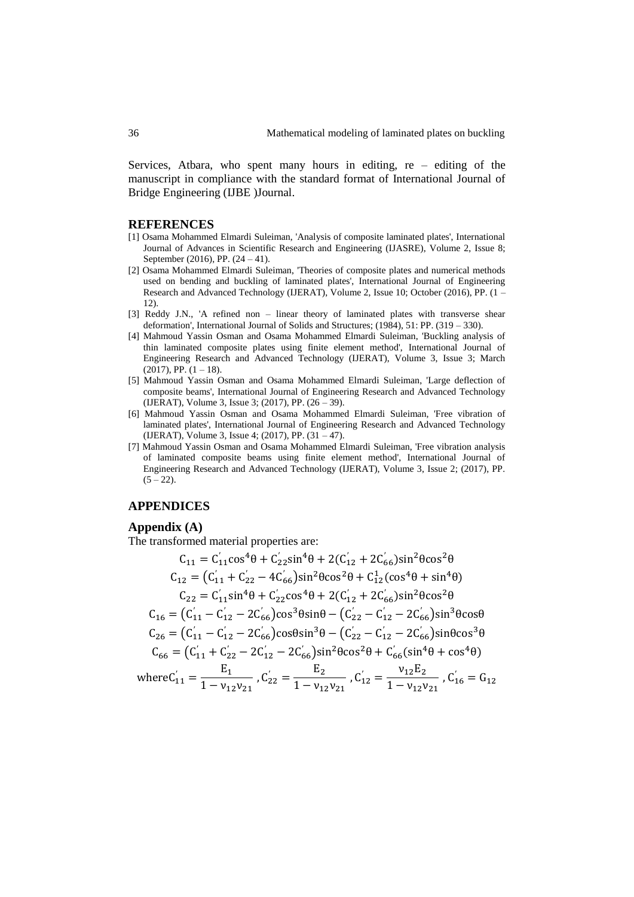Services, Atbara, who spent many hours in editing, re – editing of the manuscript in compliance with the standard format of International Journal of Bridge Engineering (IJBE )Journal.

#### **REFERENCES**

- [1] Osama Mohammed Elmardi Suleiman, 'Analysis of composite laminated plates', International Journal of Advances in Scientific Research and Engineering (IJASRE), Volume 2, Issue 8; September (2016), PP. (24 – 41).
- [2] Osama Mohammed Elmardi Suleiman, 'Theories of composite plates and numerical methods used on bending and buckling of laminated plates', International Journal of Engineering Research and Advanced Technology (IJERAT), Volume 2, Issue 10; October (2016), PP. (1 – 12).
- [3] Reddy J.N., 'A refined non linear theory of laminated plates with transverse shear deformation', International Journal of Solids and Structures; (1984), 51: PP. (319 – 330).
- [4] Mahmoud Yassin Osman and Osama Mohammed Elmardi Suleiman, 'Buckling analysis of thin laminated composite plates using finite element method', International Journal of Engineering Research and Advanced Technology (IJERAT), Volume 3, Issue 3; March  $(2017)$ , PP.  $(1 - 18)$ .
- [5] Mahmoud Yassin Osman and Osama Mohammed Elmardi Suleiman, 'Large deflection of composite beams', International Journal of Engineering Research and Advanced Technology (IJERAT), Volume 3, Issue 3; (2017), PP. (26 – 39).
- [6] Mahmoud Yassin Osman and Osama Mohammed Elmardi Suleiman, 'Free vibration of laminated plates', International Journal of Engineering Research and Advanced Technology (IJERAT), Volume 3, Issue 4; (2017), PP. (31 – 47).
- [7] Mahmoud Yassin Osman and Osama Mohammed Elmardi Suleiman, 'Free vibration analysis of laminated composite beams using finite element method', International Journal of Engineering Research and Advanced Technology (IJERAT), Volume 3, Issue 2; (2017), PP.  $(5 - 22)$ .

### **APPENDICES**

#### **Appendix (A)**

The transformed material properties are:

$$
C_{11} = C'_{11} \cos^{4}\theta + C'_{22} \sin^{4}\theta + 2(C'_{12} + 2C'_{66}) \sin^{2}\theta \cos^{2}\theta
$$
  
\n
$$
C_{12} = (C'_{11} + C'_{22} - 4C'_{66}) \sin^{2}\theta \cos^{2}\theta + C^{1}_{12} (\cos^{4}\theta + \sin^{4}\theta)
$$
  
\n
$$
C_{22} = C'_{11} \sin^{4}\theta + C'_{22} \cos^{4}\theta + 2(C'_{12} + 2C'_{66}) \sin^{2}\theta \cos^{2}\theta
$$
  
\n
$$
C_{16} = (C'_{11} - C'_{12} - 2C'_{66}) \cos^{3}\theta \sin\theta - (C'_{22} - C'_{12} - 2C'_{66}) \sin^{3}\theta \cos\theta
$$
  
\n
$$
C_{26} = (C'_{11} - C'_{12} - 2C'_{66}) \cos\theta \sin^{3}\theta - (C'_{22} - C'_{12} - 2C'_{66}) \sin\theta \cos^{3}\theta
$$
  
\n
$$
C_{66} = (C'_{11} + C'_{22} - 2C'_{12} - 2C'_{66}) \sin^{2}\theta \cos^{2}\theta + C'_{66} (\sin^{4}\theta + \cos^{4}\theta)
$$
  
\nwhere  $C'_{11} = \frac{E_{1}}{1 - V_{12}V_{21}}$ ,  $C'_{22} = \frac{E_{2}}{1 - V_{12}V_{21}}$ ,  $C'_{12} = \frac{V_{12}E_{2}}{1 - V_{12}V_{21}}$ ,  $C'_{16} = G_{12}$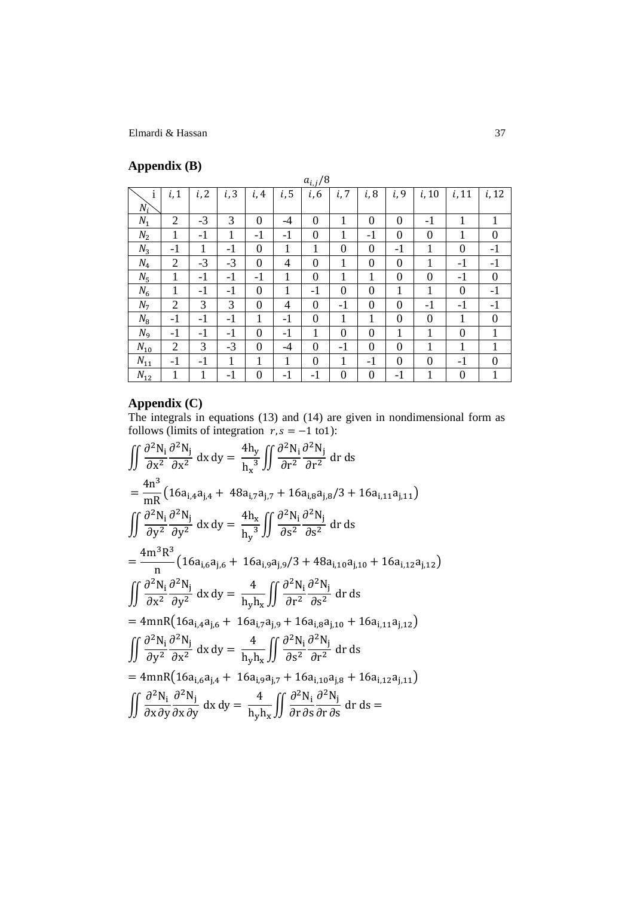# **Appendix (B)**

| . .            |                |      |      |                  |                | $a_{i,j}/8$    |                |                |                  |                |                  |                  |
|----------------|----------------|------|------|------------------|----------------|----------------|----------------|----------------|------------------|----------------|------------------|------------------|
| $\mathbf{i}$   | i, 1           | i, 2 | i, 3 | i, 4             | i, 5           | i, 6           | i, 7           | i, 8           | i, 9             | i, 10          | i, 11            | i, 12            |
| $N_i$          |                |      |      |                  |                |                |                |                |                  |                |                  |                  |
| $N_1$          | $\overline{2}$ | $-3$ | 3    | $\boldsymbol{0}$ | $-4$           | $\overline{0}$ | 1              | $\overline{0}$ | $\boldsymbol{0}$ | $-1$           | 1                | 1                |
| $N_2$          | 1              | $-1$ | 1    | $-1$             | $-1$           | $\overline{0}$ | 1              | $-1$           | $\overline{0}$   | $\overline{0}$ | 1                | $\overline{0}$   |
| $N_3$          | $-1$           | 1    | $-1$ | $\overline{0}$   | 1              | 1              | $\overline{0}$ | $\overline{0}$ | $-1$             | 1              | $\overline{0}$   | $-1$             |
| $N_4$          | $\overline{2}$ | $-3$ | $-3$ | $\theta$         | $\overline{4}$ | $\overline{0}$ | 1              | $\overline{0}$ | $\overline{0}$   | $\mathbf{1}$   | $-1$             | $-1$             |
| $N_5$          | 1              | $-1$ | $-1$ | $-1$             | 1              | $\mathbf{0}$   | 1              | 1              | $\overline{0}$   | $\overline{0}$ | $-1$             | $\boldsymbol{0}$ |
| $N_6$          | 1              | $-1$ | $-1$ | $\overline{0}$   | 1              | $-1$           | $\overline{0}$ | $\overline{0}$ | 1                | 1              | $\overline{0}$   | $-1$             |
| N <sub>7</sub> | $\overline{2}$ | 3    | 3    | $\overline{0}$   | $\overline{4}$ | $\overline{0}$ | $-1$           | $\overline{0}$ | $\theta$         | $-1$           | $-1$             | $-1$             |
| $N_8$          | $-1$           | $-1$ | $-1$ | 1                | $-1$           | $\overline{0}$ | 1              | 1              | $\theta$         | $\theta$       | 1                | $\theta$         |
| $N_{9}$        | $-1$           | $-1$ | $-1$ | $\overline{0}$   | $-1$           | 1              | $\overline{0}$ | $\overline{0}$ | 1                | 1              | $\overline{0}$   | 1                |
| $N_{10}$       | $\overline{2}$ | 3    | $-3$ | $\overline{0}$   | $-4$           | $\overline{0}$ | $-1$           | $\overline{0}$ | $\overline{0}$   | 1              | 1                | 1                |
| $N_{11}$       | $-1$           | $-1$ | 1    | 1                | 1              | $\overline{0}$ | 1              | $-1$           | $\theta$         | $\overline{0}$ | $-1$             | $\overline{0}$   |
| $N_{12}$       | 1              | 1    | $-1$ | $\overline{0}$   | $-1$           | $-1$           | $\overline{0}$ | $\overline{0}$ | -1               | 1              | $\boldsymbol{0}$ | $\mathbf 1$      |

# **Appendix (C)**

The integrals in equations (13) and (14) are given in nondimensional form as follows (limits of integration  $r, s = -1$  to 1):

$$
\iint \frac{\partial^2 N_i}{\partial x^2} \frac{\partial^2 N_j}{\partial x^2} dx dy = \frac{4h_y}{h_x^3} \iint \frac{\partial^2 N_i}{\partial r^2} \frac{\partial^2 N_j}{\partial r^2} dr ds
$$
  
\n
$$
= \frac{4n^3}{mR} \left( 16a_{i,4}a_{j,4} + 48a_{i,7}a_{j,7} + 16a_{i,8}a_{j,8}/3 + 16a_{i,11}a_{j,11} \right)
$$
  
\n
$$
\iint \frac{\partial^2 N_i}{\partial y^2} \frac{\partial^2 N_j}{\partial y^2} dx dy = \frac{4h_x}{h_y^3} \iint \frac{\partial^2 N_i}{\partial s^2} \frac{\partial^2 N_j}{\partial s^2} dr ds
$$
  
\n
$$
= \frac{4m^3 R^3}{n} \left( 16a_{i,6}a_{j,6} + 16a_{i,9}a_{j,9}/3 + 48a_{i,10}a_{j,10} + 16a_{i,12}a_{j,12} \right)
$$
  
\n
$$
\iint \frac{\partial^2 N_i}{\partial x^2} \frac{\partial^2 N_j}{\partial y^2} dx dy = \frac{4}{h_y h_x} \iint \frac{\partial^2 N_i}{\partial r^2} \frac{\partial^2 N_j}{\partial s^2} dr ds
$$
  
\n
$$
= 4mnR \left( 16a_{i,4}a_{j,6} + 16a_{i,7}a_{j,9} + 16a_{i,8}a_{j,10} + 16a_{i,11}a_{j,12} \right)
$$
  
\n
$$
\iint \frac{\partial^2 N_i}{\partial y^2} \frac{\partial^2 N_j}{\partial x^2} dx dy = \frac{4}{h_y h_x} \iint \frac{\partial^2 N_i}{\partial s^2} \frac{\partial^2 N_j}{\partial r^2} dr ds
$$
  
\n
$$
= 4mnR \left( 16a_{i,6}a_{j,4} + 16a_{i,9}a_{j,7} + 16a_{i,10}a_{j,8} + 16a_{i,12}a_{j,11} \right)
$$
  
\n
$$
\iint \frac{\partial^2 N_i}{\partial x \partial y
$$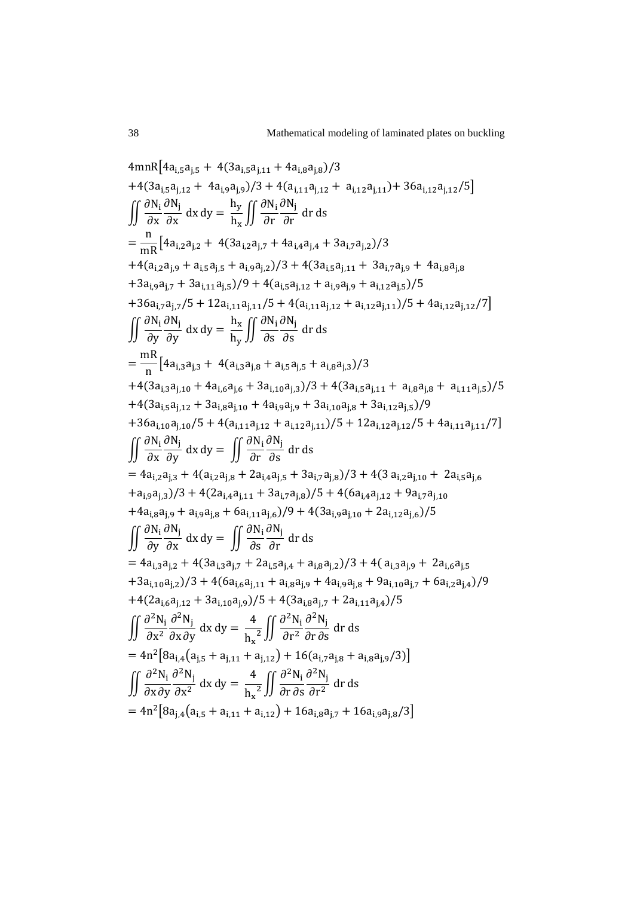$$
4mnR[4a_{i,5}a_{j,5} + 4(3a_{i,5}a_{j,11} + 4a_{i,8}a_{j,8})/3
$$
  
+4(3a\_{i,5}a\_{j,12} + 4a\_{i,9}a\_{j,9})/3 + 4(a\_{i,11}a\_{j,12} + a\_{i,12}a\_{j,11}) + 36a\_{i,12}a\_{j,12}/5]  
\n
$$
\iint \frac{\partial N_i}{\partial x} \frac{\partial N_j}{\partial x} dx dy = \frac{h_y}{h_x} \iint \frac{\partial N_i}{\partial r} \frac{\partial N_j}{\partial r} dr ds
$$
  
= 
$$
\frac{n}{mR} [4a_{i,2}a_{j,2} + 4(3a_{i,2}a_{j,7} + 4a_{i,4}a_{j,4} + 3a_{i,7}a_{j,2})/3
$$
  
+4(a\_{i,2}a\_{j,9} + a\_{i,5}a\_{j,5} + a\_{i,9}a\_{j,2})/3 + 4(3a\_{i,5}a\_{j,11} + 3a\_{i,7}a\_{j,9} + 4a\_{i,8}a\_{j,8}  
+3a\_{i,9}a\_{j,7} + 3a\_{i,11}a\_{j,5})/9 + 4(a\_{i,13}a\_{j,12} + a\_{i,12}a\_{j,1})/5 + 4a\_{i,12}a\_{j,12}/7]  
\n
$$
\iint \frac{\partial N_i}{\partial y} \frac{\partial N_j}{\partial y} dx dy = \frac{h_x}{h_y} \iint \frac{\partial N_i}{\partial s} \frac{\partial N_j}{\partial s} dr ds
$$
  
= 
$$
\frac{mR}{n} [4a_{i,3}a_{j,3} + 4(a_{i,3}a_{j,8} + a_{i,5}a_{j,5} + a_{i,8}a_{j,3})/3
$$
  
+4(3a\_{i,3}a\_{j,10} + 4a\_{i,6}a\_{j,6} + 3a\_{i,10}a\_{j,3})/3 + 4(3a\_{i,5}a\_{j,11} + a\_{i,8}a\_{j,8} + a\_{i,11}a\_{j,5})/5  
+4(3a\_{i,3}a\_{j,10} + 4a\_{i,6}a\_{j,6}